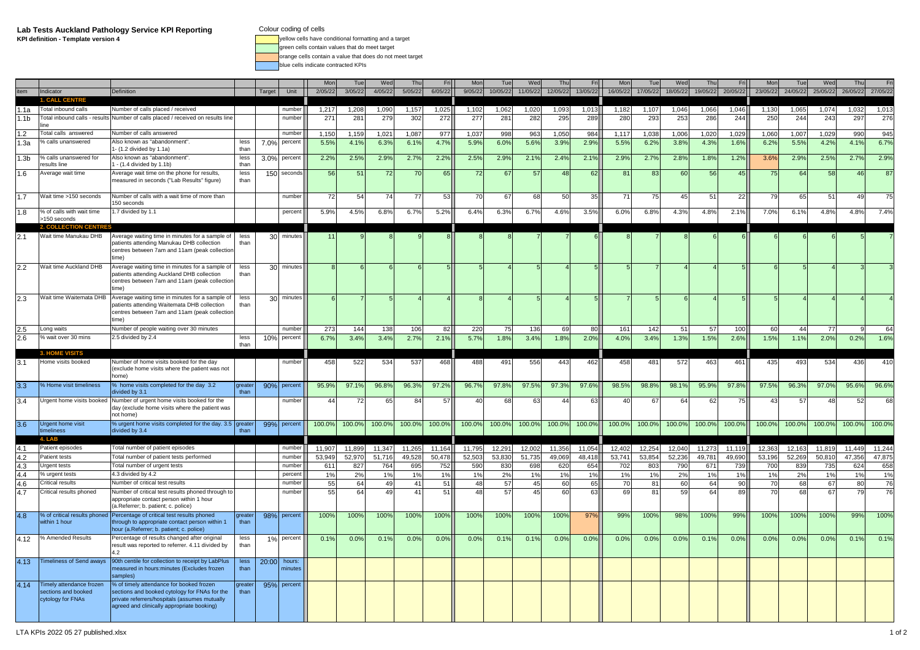**Lab Tests Auckland Pathology Service KPI ReportingKPI definition - Template version 4** yellow cells have conditional formatting and a target

Colour coding of cells<br>
yellow cells have conditional formatting and a target

green cells contain values that do meet target

orange cells contain a value that does do not meet target

blue cells indicate contracted KPIs

|                  |                                 |                                                                                                  |                |        |             | Mor     |         | Wed            | Th             |         |         |                 | Wed      |          |                |                |          | Wed      |          |          |          | Tue      | We       | Thu      | Fri      |
|------------------|---------------------------------|--------------------------------------------------------------------------------------------------|----------------|--------|-------------|---------|---------|----------------|----------------|---------|---------|-----------------|----------|----------|----------------|----------------|----------|----------|----------|----------|----------|----------|----------|----------|----------|
| tem              | Indicator                       | Definition                                                                                       |                | Target | Unit        | 2/05/22 | 3/05/22 | 4/05/22        | 5/05/22        | 6/05/22 | 9/05/22 | 10/05/22        | 11/05/22 | 12/05/22 | 13/05/22       | 16/05/22       | 17/05/22 | 18/05/22 | 19/05/22 | 20/05/22 | 23/05/22 | 24/05/22 | 25/05/22 | 26/05/22 | 27/05/22 |
|                  | NTRF                            |                                                                                                  |                |        |             |         |         |                |                |         |         |                 |          |          |                |                |          |          |          |          |          |          |          |          |          |
| .1a              | Total inbound calls             | Number of calls placed / received                                                                |                |        | number      | 1,217   | 1,208   | 1,090          | 1,157          | 1,025   | 1,102   | 1,062           | 1,020    | 1,093    | 1,013          | 1,182          | 1,107    | 1,046    | 1,066    | 1,046    | 1,130    | 1,065    | 1.074    | 1,032    | 1,013    |
| .1 <sub>b</sub>  | Total inbound calls - results   | Number of calls placed / received on results line                                                |                |        | number      | 271     | 281     | 279            | 302            | 272     | 277     | 28 <sup>′</sup> | 282      | 295      | 289            | 280            | 293      | 253      | 286      | 244      | 250      | 244      | 243      | 297      | 276      |
|                  | ine                             |                                                                                                  |                |        |             |         |         |                |                |         |         |                 |          |          |                |                |          |          |          |          |          |          |          |          |          |
| 1.2              | Total calls answered            | Number of calls answered                                                                         |                |        | number      | 1,150   | 1,159   | 1,02           | 1,08           | 977     | 1,037   | 998             | 963      | 1,050    | 984            | 1,117          | 1,038    | 1,006    | 1,020    | 1,029    | 1,060    | 1,007    | 1,029    | 990      | 945      |
| 1.3a             | % calls unanswered              | Also known as "abandonment".                                                                     | less           | 7.0%   | percent     | 5.5%    | 4.1%    | 6.3%           | 6.1%           | 4.7%    | 5.9%    | 6.0%            | 5.6%     | 3.9%     | 2.9%           | 5.5%           | 6.2%     | 3.8%     | 4.3%     | 1.6%     | 6.2%     | 5.5%     | 4.2%     | 4.1%     | 6.7%     |
|                  |                                 | I- (1.2 divided by 1.1a)                                                                         | than           |        |             |         |         |                |                |         |         |                 |          |          |                |                |          |          |          |          |          |          |          |          |          |
| 1.3 <sub>b</sub> | % calls unanswered for          | Also known as "abandonment".                                                                     | less           | 3.0%   | percent     | 2.2%    | 2.5%    | 2.9%           | 2.7%           | 2.2%    | 2.5%    | 2.9%            | 2.1%     | 2.4%     | 2.1%           | 2.9%           | 2.7%     | 2.8%     | 1.8%     | 1.2%     | 3.6%     | 2.9%     | 2.5%     | 2.7%     | 2.9%     |
|                  | results line                    | 1 - (1.4 divided by 1.1b)                                                                        | than           |        |             |         |         |                |                |         |         |                 |          |          |                |                |          |          |          |          |          |          |          |          |          |
| 1.6              | Average wait time               | Average wait time on the phone for results,<br>neasured in seconds ("Lab Results" figure)        | less<br>than   | 150    | seconds     | 56      | 51      | 72             | 7 <sup>1</sup> | 65      | 72      | 67              | 57       | 48       | 62             | 8 <sup>1</sup> | 83       | 60       | 56       | 45       | 75       | 64       | 58       | 46       | 87       |
|                  |                                 |                                                                                                  |                |        |             |         |         |                |                |         |         |                 |          |          |                |                |          |          |          |          |          |          |          |          |          |
| 1.7              | Wait time >150 seconds          | Number of calls with a wait time of more than                                                    |                |        | numbei      | 72      | 54      | $\overline{7}$ | 77             | 53      | 70      | 67              | 68       | 50       | 35             | 7 <sup>1</sup> | 75       | 45       | 51       | 22       | 79       | 65       | 51       | 49       | 75       |
|                  |                                 | 50 seconds                                                                                       |                |        |             |         |         |                |                |         |         |                 |          |          |                |                |          |          |          |          |          |          |          |          |          |
| 1.8              | % of calls with wait time       | 1.7 divided by 1.1                                                                               |                |        | percent     | 5.9%    | 4.5%    | 6.8%           | 6.7%           | 5.2%    | 6.4%    | 6.3%            | 6.7%     | 4.6%     | 3.5%           | 6.0%           | 6.8%     | 4.3%     | 4.8%     | 2.1%     | 7.0%     | 6.1%     | 4.8%     | 4.8%     | 7.4%     |
|                  | >150 seconds                    |                                                                                                  |                |        |             |         |         |                |                |         |         |                 |          |          |                |                |          |          |          |          |          |          |          |          |          |
|                  |                                 |                                                                                                  |                |        |             |         |         |                |                |         |         |                 |          |          |                |                |          |          |          |          |          |          |          |          |          |
| 2.1              | Wait time Manukau DHB           | Average waiting time in minutes for a sample of                                                  | less           |        | 30 minutes  | 11      |         |                |                |         |         |                 |          |          | 61             |                |          |          |          |          |          |          |          |          |          |
|                  |                                 | patients attending Manukau DHB collection                                                        | than           |        |             |         |         |                |                |         |         |                 |          |          |                |                |          |          |          |          |          |          |          |          |          |
|                  |                                 | centres between 7am and 11am (peak collection<br>ime)                                            |                |        |             |         |         |                |                |         |         |                 |          |          |                |                |          |          |          |          |          |          |          |          |          |
|                  |                                 |                                                                                                  |                |        |             |         |         |                |                |         |         |                 |          |          |                |                |          |          |          |          |          |          |          |          |          |
| 2.2              | Wait time Auckland DHB          | Average waiting time in minutes for a sample of<br>patients attending Auckland DHB collection    | less<br>than   |        | 30 minutes  |         |         |                |                |         |         |                 |          |          | 5 <sub>1</sub> |                |          |          |          |          |          |          |          |          |          |
|                  |                                 | centres between 7am and 11am (peak collection                                                    |                |        |             |         |         |                |                |         |         |                 |          |          |                |                |          |          |          |          |          |          |          |          |          |
|                  |                                 | time)                                                                                            |                |        |             |         |         |                |                |         |         |                 |          |          |                |                |          |          |          |          |          |          |          |          |          |
| 2.3              | Wait time Waitemata DHB         | Average waiting time in minutes for a sample of                                                  | less           | 30     | minutes     |         |         |                |                |         |         |                 |          |          | 5 <sub>1</sub> |                |          |          |          |          |          |          |          |          |          |
|                  |                                 | patients attending Waitemata DHB collection                                                      | than           |        |             |         |         |                |                |         |         |                 |          |          |                |                |          |          |          |          |          |          |          |          |          |
|                  |                                 | centres between 7am and 11am (peak collection                                                    |                |        |             |         |         |                |                |         |         |                 |          |          |                |                |          |          |          |          |          |          |          |          |          |
|                  |                                 | ime)                                                                                             |                |        |             |         |         |                |                |         |         |                 |          |          |                |                |          |          |          |          |          |          |          |          |          |
|                  | Long waits                      | Number of people waiting over 30 minutes                                                         |                |        | number      | 273     | 144     | 138            | 106            | 82      | 220     | 75              | 136      | 69       | 80             | 16             | 142      | 51       | 57       | 100      | 60       | 44       | 77       |          | 64       |
| 2.6              | % wait over 30 mins             | 2.5 divided by 2.4                                                                               | less           | 10%    | percent     | 6.7%    | 3.4%    | 3.4%           | 2.7%           | 2.1%    | 5.7%    | 1.8%            | 3.4%     | 1.8%     | 2.0%           | 4.0%           | 3.4%     | 1.3%     | 1.5%     | 2.6%     | 1.5%     | 1.1%     | 2.0%     | 0.2%     | 1.6%     |
|                  |                                 |                                                                                                  | than           |        |             |         |         |                |                |         |         |                 |          |          |                |                |          |          |          |          |          |          |          |          |          |
|                  |                                 |                                                                                                  |                |        |             |         |         |                |                |         |         |                 |          |          |                |                |          |          |          |          |          |          |          |          |          |
|                  | <b>3. HOME VISITS</b>           |                                                                                                  |                |        |             |         |         |                |                |         |         |                 |          |          |                |                |          |          |          |          |          |          |          |          |          |
| 3.1              | Home visits booked              | Number of home visits booked for the day                                                         |                |        | number      | 458     | 522     | 534            | 537            | 468     | 488     | 491             | 556      | 443      | 462            | 458            | 481      | 572      | 463      | 461      | 435      | 493      | 534      | 436      | 410      |
|                  |                                 | (exclude home visits where the patient was not                                                   |                |        |             |         |         |                |                |         |         |                 |          |          |                |                |          |          |          |          |          |          |          |          |          |
|                  |                                 | home)                                                                                            |                |        |             |         |         |                |                |         |         |                 |          |          |                |                |          |          |          |          |          |          |          |          |          |
| 3.3              | % Home visit timeliness         | % home visits completed for the day 3.2<br>divided by 3.1                                        | areate<br>than | 90%    | percent     | 95.9%   | 97.1%   | 96.8%          | 96.3%          | 97.2%   | 96.7%   | 97.8%           | 97.5%    | 97.3%    | 97.6%          | 98.5%          | 98.8%    | 98.1%    | 95.9%    | 97.8%    | 97.5%    | 96.3%    | 97.0%    | 95.6%    | 96.6%    |
|                  | Urgent home visits booked       |                                                                                                  |                |        | number      | 44      | 72      | 65             | 8              | 57      | 40      | 68              | 63       | 4        | 63             | 40             | 67       | 64       | 62       | 75       | 43       | 57       | 48       | 52       | 68       |
| 3.4              |                                 | Number of urgent home visits booked for the<br>day (exclude home visits where the patient was    |                |        |             |         |         |                |                |         |         |                 |          |          |                |                |          |          |          |          |          |          |          |          |          |
|                  |                                 | not home)                                                                                        |                |        |             |         |         |                |                |         |         |                 |          |          |                |                |          |          |          |          |          |          |          |          |          |
| 3.6              | <b>Urgent home visit</b>        | % urgent home visits completed for the day. 3.5 greater                                          |                |        | 99% percent | 100.0%  | 100.0%  | 100.0%         | 100.0%         | 100.0%  | 100.0%  | 100.0%          | 100.0%   | 100.0%   | 100.0%         | 100.0%         | 100.0%   | 100.0%   | 100.0%   | 100.0%   | 100.0%   | 100.0%   | 100.0%   | 100.0%   | 100.0%   |
|                  | timeliness                      | divided by 3.4                                                                                   | than           |        |             |         |         |                |                |         |         |                 |          |          |                |                |          |          |          |          |          |          |          |          |          |
|                  |                                 |                                                                                                  |                |        |             |         |         |                |                |         |         |                 |          |          |                |                |          |          |          |          |          |          |          |          |          |
| 4.1              | Patient episodes                | Total number of patient episodes                                                                 |                |        | number      | 11,907  | 11.899  | 11.347         | 11.265         | 11.164  | 11.795  | 12,291          | 12.002   | 11.356   | 11.054         | 12,402         | 12.254   | 12,040   | 11.273   | 11.119   | 12,363   | 12,163   | 11.819   | 11.449   | 11,244   |
| 4.2              | Patient tests                   | Total number of patient tests performed                                                          |                |        | number      | 53,949  | 52,970  | 51.71          | 49,528         | 50,478  | 52,503  | 53,830          | 51,735   | 49,069   | 48,418         | 53,741         | 53,854   | 52,236   | 49,781   | 49,690   | 53,196   | 52,269   | 50,810   | 47,356   | 47,875   |
| 4.3              | <b>Jrgent tests</b>             | Total number of urgent tests                                                                     |                |        | number      | 61'     | 827     | 76             | 695            | 752     | 590     | 830             | 698      | 620      | 654            | 702            | 803      | 790      | 671      | 739      | 700      | 839      | 735      | 624      | 658      |
| 4.4              | % urgent tests                  | 4.3 divided by 4.2                                                                               |                |        | percent     | 1%      | 2%      | 1%             | 1%             | 1%      | 1%      | 2%              | 1%       | 1%       | 1%             | 1%             | 1%       | 2%       | 1%       | 1%       | 1%       | 2%       | 1%       | 1%       | 1%       |
| 4.6              | Critical results                | Number of critical test results                                                                  |                |        | number      | 55      | 64      | 49             | 41             | 51      | 48      | 57              | 45       | 60       | 65             | 70             | 81       | 60       | 64       | 90       | 70       | 68       | 67       | 80       | 76       |
| 4.7              | Critical results phoned         | Number of critical test results phoned through to                                                |                |        | number      | 55      | 64      | 49             | 41             | 51      | 48      | 57              | 45       | 60       | 63             | 69             | 81       | 59       | 64       | 89       | 70       | 68       | 67       | 79       | 76       |
|                  |                                 | appropriate contact person within 1 hour                                                         |                |        |             |         |         |                |                |         |         |                 |          |          |                |                |          |          |          |          |          |          |          |          |          |
|                  |                                 | (a.Referrer; b. patient; c. police)                                                              |                |        |             |         |         |                |                |         |         |                 |          |          |                |                |          |          |          |          |          |          |          |          |          |
| 4.8              | % of critical results phoned    | Percentage of critical test results phoned                                                       |                | 98%    | percent     | 100%    | 100%    | 100%           | 100%           | 100%    | 100%    | 100%            | 100%     | 100%     | 97%            | 99%            | 100%     | 98%      | 100%     | 99%      | 100%     | 100%     | 100%     | 99%      | 100%     |
|                  | within 1 hour                   | hrough to appropriate contact person within 1                                                    | thar           |        |             |         |         |                |                |         |         |                 |          |          |                |                |          |          |          |          |          |          |          |          |          |
|                  |                                 | nour (a.Referrer; b. patient; c. police)                                                         | less           |        |             |         |         |                |                |         |         |                 |          |          |                |                |          |          |          |          |          |          |          |          |          |
| 4.12             | % Amended Results               | Percentage of results changed after original<br>result was reported to referrer. 4.11 divided by | than           | 1%     | percent     | 0.1%    | 0.0%    | 0.1%           | 0.0%           | 0.0%    | 0.0%    | 0.1%            | 0.1%     | 0.0%     | 0.0%           | 0.0%           | 0.0%     | 0.0%     | 0.1%     | 0.0%     | 0.0%     | 0.0%     | 0.0%     | 0.1%     | 0.1%     |
|                  |                                 | 4.2                                                                                              |                |        |             |         |         |                |                |         |         |                 |          |          |                |                |          |          |          |          |          |          |          |          |          |
| 4.13             | <b>Timeliness of Send aways</b> | 90th centile for collection to receipt by LabPlus                                                | less           | 20:00  | hours:      |         |         |                |                |         |         |                 |          |          |                |                |          |          |          |          |          |          |          |          |          |
|                  |                                 | measured in hours: minutes (Excludes frozen                                                      | than           |        | minutes     |         |         |                |                |         |         |                 |          |          |                |                |          |          |          |          |          |          |          |          |          |
|                  |                                 | samples)                                                                                         |                |        |             |         |         |                |                |         |         |                 |          |          |                |                |          |          |          |          |          |          |          |          |          |
| 4.14             | Timely attendance frozen        | 6 of timely attendance for booked frozen                                                         | areate         | 95%    | percent     |         |         |                |                |         |         |                 |          |          |                |                |          |          |          |          |          |          |          |          |          |
|                  | sections and booked             | sections and booked cytology for FNAs for the                                                    |                |        |             |         |         |                |                |         |         |                 |          |          |                |                |          |          |          |          |          |          |          |          |          |
|                  | cytology for FNAs               | private referrers/hospitals (assumes mutually                                                    |                |        |             |         |         |                |                |         |         |                 |          |          |                |                |          |          |          |          |          |          |          |          |          |
|                  |                                 | agreed and clinically appropriate booking)                                                       |                |        |             |         |         |                |                |         |         |                 |          |          |                |                |          |          |          |          |          |          |          |          |          |